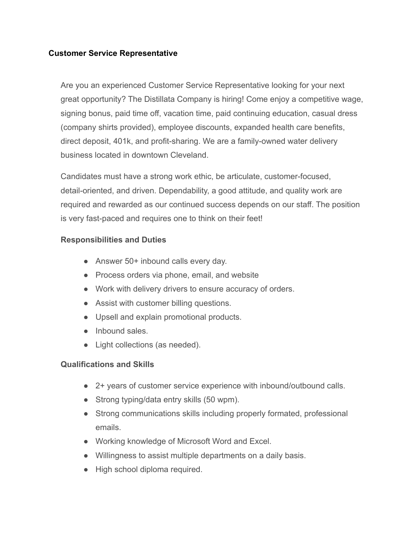## **Customer Service Representative**

Are you an experienced Customer Service Representative looking for your next great opportunity? The Distillata Company is hiring! Come enjoy a competitive wage, signing bonus, paid time off, vacation time, paid continuing education, casual dress (company shirts provided), employee discounts, expanded health care benefits, direct deposit, 401k, and profit-sharing. We are a family-owned water delivery business located in downtown Cleveland.

Candidates must have a strong work ethic, be articulate, customer-focused, detail-oriented, and driven. Dependability, a good attitude, and quality work are required and rewarded as our continued success depends on our staff. The position is very fast-paced and requires one to think on their feet!

## **Responsibilities and Duties**

- Answer 50+ inbound calls every day.
- Process orders via phone, email, and website
- Work with delivery drivers to ensure accuracy of orders.
- Assist with customer billing questions.
- Upsell and explain promotional products.
- Inbound sales.
- Light collections (as needed).

## **Qualifications and Skills**

- 2+ years of customer service experience with inbound/outbound calls.
- Strong typing/data entry skills (50 wpm).
- Strong communications skills including properly formated, professional emails.
- Working knowledge of Microsoft Word and Excel.
- Willingness to assist multiple departments on a daily basis.
- High school diploma required.